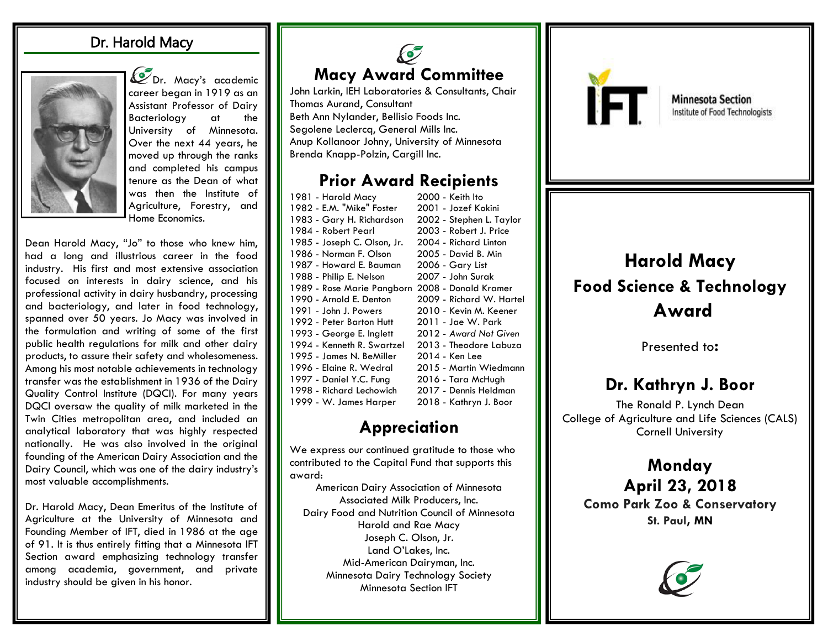#### Dr. Harold Macy



Con. Macy's academic career began in 1919 as an Assistant Professor of Dairy Bacteriology at the University of Minnesota. Over the next 44 years, he moved up through the ranks and completed his campus tenure as the Dean of what was then the Institute of Agriculture, Forestry, and Home Economics.

Dean Harold Macy, "Jo" to those who knew him, had a long and illustrious career in the food industry. His first and most extensive association focused on interests in dairy science, and his professional activity in dairy husbandry, processing and bacteriology, and later in food technology, spanned over 50 years. Jo Macy was involved in the formulation and writing of some of the first public health regulations for milk and other dairy products, to assure their safety and wholesomeness. Among his most notable achievements in technology transfer was the establishment in 1936 of the Dairy Quality Control Institute (DQCI). For many years DQCI oversaw the quality of milk marketed in the Twin Cities metropolitan area, and included an analytical laboratory that was highly respected nationally. He was also involved in the original founding of the American Dairy Association and the Dairy Council, which was one of the dairy industry's most valuable accomplishments.

Dr. Harold Macy, Dean Emeritus of the Institute of Agriculture at the University of Minnesota and Founding Member of IFT, died in 1986 at the age of 91. It is thus entirely fitting that a Minnesota IFT Section award emphasizing technology transfer among academia, government, and private industry should be given in his honor.

## C **Macy Award Committee**

John Larkin, IEH Laboratories & Consultants, Chair Thomas Aurand, Consultant Beth Ann Nylander, Bellisio Foods Inc. Segolene Leclercq, General Mills Inc. Anup Kollanoor Johny, University of Minnesota Brenda Knapp-Polzin, Cargill Inc.

#### **Prior Award Recipients**

| 1981 - Harold Macy          | 2000 - Keith Ito         |
|-----------------------------|--------------------------|
| 1982 - E.M. "Mike" Foster   | 2001 - Jozef Kokini      |
| 1983 - Gary H. Richardson   | 2002 - Stephen L. Taylor |
| 1984 - Robert Pearl         | 2003 - Robert J. Price   |
| 1985 - Joseph C. Olson, Jr. | 2004 - Richard Linton    |
| 1986 - Norman F. Olson      | 2005 - David B. Min      |
| 1987 - Howard E. Bauman     | 2006 - Gary List         |
| 1988 - Philip E. Nelson     | 2007 - John Surak        |
| 1989 - Rose Marie Pangborn  | 2008 - Donald Kramer     |
| 1990 - Arnold E. Denton     | 2009 - Richard W. Hartel |
| 1991 - John J. Powers       | 2010 - Kevin M. Keener   |
| 1992 - Peter Barton Hutt    | 2011 - Jae W. Park       |
| 1993 - George E. Inglett    | 2012 - Award Not Given   |
| 1994 - Kenneth R. Swartzel  | 2013 - Theodore Labuza   |
| 1995 - James N. BeMiller    | 2014 - Ken Lee           |
| 1996 - Elaine R. Wedral     | 2015 - Martin Wiedmann   |
| 1997 - Daniel Y.C. Fung     | 2016 - Tara McHugh       |
| 1998 - Richard Lechowich    | 2017 - Dennis Heldman    |
| 1999 - W. James Harper      | 2018 - Kathryn J. Boor   |

## **Appreciation**

We express our continued gratitude to those who contributed to the Capital Fund that supports this award:

American Dairy Association of Minnesota Associated Milk Producers, Inc. Dairy Food and Nutrition Council of Minnesota Harold and Rae Macy Joseph C. Olson, Jr. Land O'Lakes, Inc. Mid-American Dairyman, Inc. Minnesota Dairy Technology Society Minnesota Section IFT



**Minnesota Section** Institute of Food Technologists

# **Harold Macy Food Science & Technology Award**

Presented to:

## **Dr. Kathryn J. Boor**

The Ronald P. Lynch Dean College of Agriculture and Life Sciences (CALS) Cornell University

### **Monday April 23, 2018 Como Park Zoo & Conservatory St. Paul, MN**